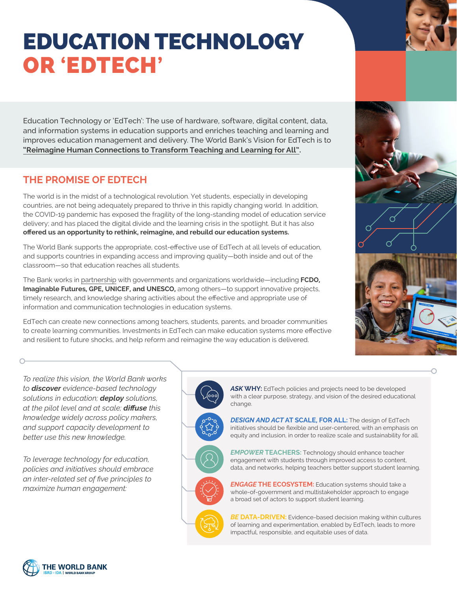## EDUCATION TECHNOLOGY OR **'**EDTECH**'**

Education Technology or 'EdTech': The use of hardware, software, digital content, data, and information systems in education supports and enriches teaching and learning and improves education management and delivery. The World Bank's Vision for EdTech is to **["Reimagine Human Connections to Transform Teaching and Learning for All"](https://www.worldbank.org/en/topic/edutech/publication/reimagining-human-connections-technology-and-innovation-in-education-at-world-bank).**

## **THE PROMISE OF EDTECH**

The world is in the midst of a technological revolution. Yet students, especially in developing countries, are not being adequately prepared to thrive in this rapidly changing world. In addition, the COVID-19 pandemic has exposed the fragility of the long-standing model of education service delivery; and has placed the digital divide and the learning crisis in the spotlight. But it has also **offered us an opportunity to rethink, reimagine, and rebuild our education systems.**

The World Bank supports the appropriate, cost-effective use of EdTech at all levels of education, and supports countries in expanding access and improving quality—both inside and out of the classroom—so that education reaches all students.

The Bank works in [partnership](https://www.worldbank.org/en/topic/edutech#4) with governments and organizations worldwide—including **FCDO, Imaginable Futures, GPE, UNICEF, and UNESCO,** among others—to support innovative projects, timely research, and knowledge sharing activities about the effective and appropriate use of information and communication technologies in education systems.

EdTech can create new connections among teachers, students, parents, and broader communities to create learning communities. Investments in EdTech can make education systems more effective and resilient to future shocks, and help reform and reimagine the way education is delivered.



*To realize this vision, the World Bank works to discover evidence-based technology solutions in education; deploy solutions, at the pilot level and at scale; diffuse this knowledge widely across policy makers, and support capacity development to better use this new knowledge.*

*To leverage technology for education, policies and initiatives should embrace an inter-related set of five principles to maximize human engagement:*



*ASK* **WHY:** EdTech policies and projects need to be developed with a clear purpose, strategy, and vision of the desired educational change.

*DESIGN AND ACT* **AT SCALE, FOR ALL:** The design of EdTech initiatives should be flexible and user-centered, with an emphasis on equity and inclusion, in order to realize scale and sustainability for all.

*EMPOWER* **TEACHERS:** Technology should enhance teacher engagement with students through improved access to content, data, and networks, helping teachers better support student learning.

*ENGAGE* **THE ECOSYSTEM:** Education systems should take a whole-of-government and multistakeholder approach to engage a broad set of actors to support student learning.

**BE DATA-DRIVEN:** Evidence-based decision making within cultures of learning and experimentation, enabled by EdTech, leads to more impactful, responsible, and equitable uses of data.